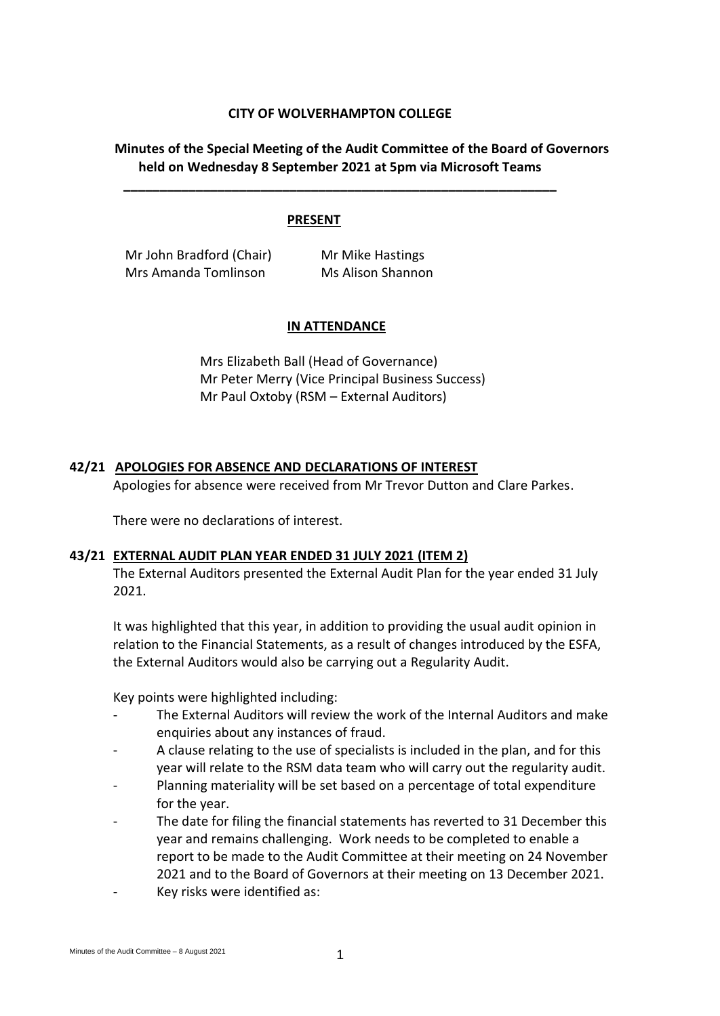## **CITY OF WOLVERHAMPTON COLLEGE**

**\_\_\_\_\_\_\_\_\_\_\_\_\_\_\_\_\_\_\_\_\_\_\_\_\_\_\_\_\_\_\_\_\_\_\_\_\_\_\_\_\_\_\_\_\_\_\_\_\_\_\_\_\_\_\_\_\_\_\_\_**

# **Minutes of the Special Meeting of the Audit Committee of the Board of Governors held on Wednesday 8 September 2021 at 5pm via Microsoft Teams**

## **PRESENT**

Mr John Bradford (Chair) Mr Mike Hastings Mrs Amanda Tomlinson Mrs Alison Shannon

## **IN ATTENDANCE**

Mrs Elizabeth Ball (Head of Governance) Mr Peter Merry (Vice Principal Business Success) Mr Paul Oxtoby (RSM – External Auditors)

## **42/21 APOLOGIES FOR ABSENCE AND DECLARATIONS OF INTEREST**

Apologies for absence were received from Mr Trevor Dutton and Clare Parkes.

There were no declarations of interest.

#### **43/21 EXTERNAL AUDIT PLAN YEAR ENDED 31 JULY 2021 (ITEM 2)**

The External Auditors presented the External Audit Plan for the year ended 31 July 2021.

It was highlighted that this year, in addition to providing the usual audit opinion in relation to the Financial Statements, as a result of changes introduced by the ESFA, the External Auditors would also be carrying out a Regularity Audit.

Key points were highlighted including:

- The External Auditors will review the work of the Internal Auditors and make enquiries about any instances of fraud.
- A clause relating to the use of specialists is included in the plan, and for this year will relate to the RSM data team who will carry out the regularity audit.
- Planning materiality will be set based on a percentage of total expenditure for the year.
- The date for filing the financial statements has reverted to 31 December this year and remains challenging. Work needs to be completed to enable a report to be made to the Audit Committee at their meeting on 24 November 2021 and to the Board of Governors at their meeting on 13 December 2021. Key risks were identified as: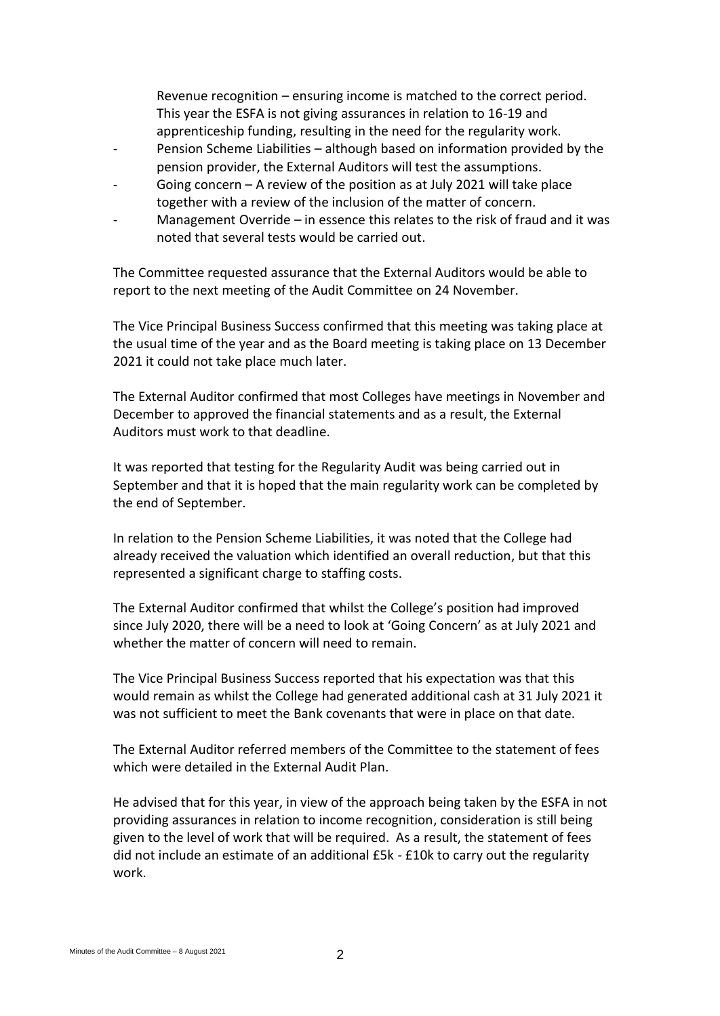Revenue recognition – ensuring income is matched to the correct period. This year the ESFA is not giving assurances in relation to 16-19 and apprenticeship funding, resulting in the need for the regularity work.

- Pension Scheme Liabilities although based on information provided by the pension provider, the External Auditors will test the assumptions.
- Going concern  $-$  A review of the position as at July 2021 will take place together with a review of the inclusion of the matter of concern.
- Management Override in essence this relates to the risk of fraud and it was noted that several tests would be carried out.

The Committee requested assurance that the External Auditors would be able to report to the next meeting of the Audit Committee on 24 November.

The Vice Principal Business Success confirmed that this meeting was taking place at the usual time of the year and as the Board meeting is taking place on 13 December 2021 it could not take place much later.

The External Auditor confirmed that most Colleges have meetings in November and December to approved the financial statements and as a result, the External Auditors must work to that deadline.

It was reported that testing for the Regularity Audit was being carried out in September and that it is hoped that the main regularity work can be completed by the end of September.

In relation to the Pension Scheme Liabilities, it was noted that the College had already received the valuation which identified an overall reduction, but that this represented a significant charge to staffing costs.

The External Auditor confirmed that whilst the College's position had improved since July 2020, there will be a need to look at 'Going Concern' as at July 2021 and whether the matter of concern will need to remain.

The Vice Principal Business Success reported that his expectation was that this would remain as whilst the College had generated additional cash at 31 July 2021 it was not sufficient to meet the Bank covenants that were in place on that date.

The External Auditor referred members of the Committee to the statement of fees which were detailed in the External Audit Plan.

He advised that for this year, in view of the approach being taken by the ESFA in not providing assurances in relation to income recognition, consideration is still being given to the level of work that will be required. As a result, the statement of fees did not include an estimate of an additional £5k - £10k to carry out the regularity work.